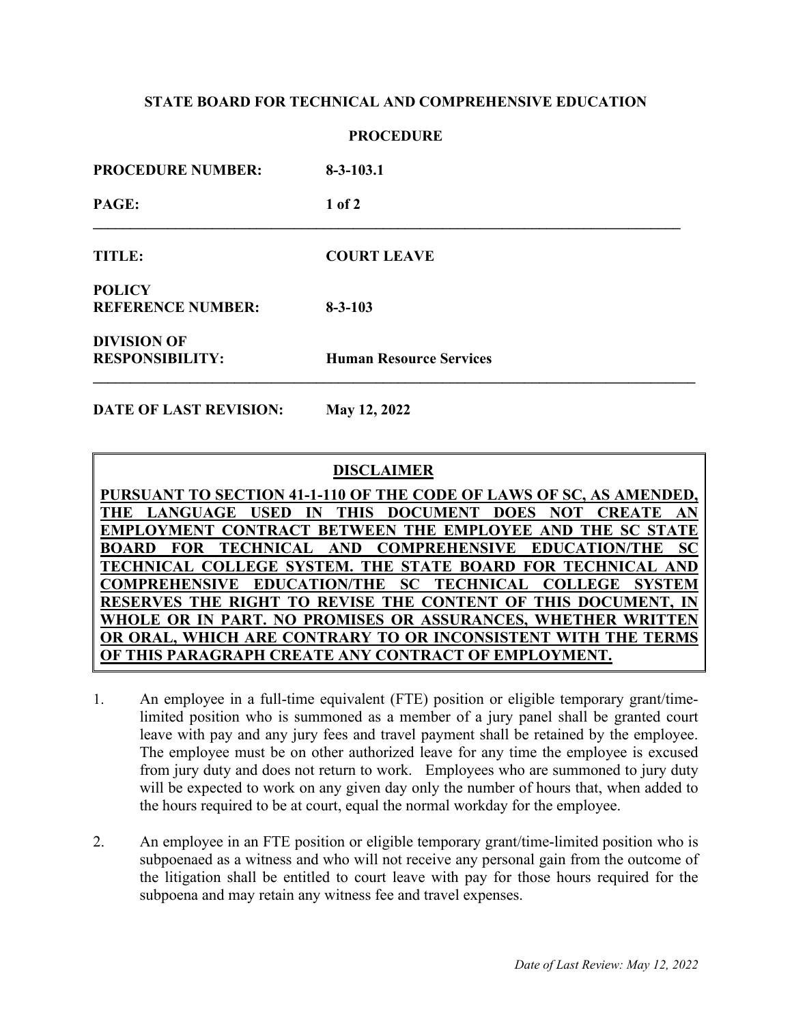## **STATE BOARD FOR TECHNICAL AND COMPREHENSIVE EDUCATION**

### **PROCEDURE**

| <b>PROCEDURE NUMBER:</b>                     | $8 - 3 - 103.1$                |
|----------------------------------------------|--------------------------------|
| PAGE:                                        | $1$ of $2$                     |
| <b>TITLE:</b>                                | <b>COURT LEAVE</b>             |
| <b>POLICY</b><br><b>REFERENCE NUMBER:</b>    | $8 - 3 - 103$                  |
| <b>DIVISION OF</b><br><b>RESPONSIBILITY:</b> | <b>Human Resource Services</b> |

**DATE OF LAST REVISION: May 12, 2022**

# **DISCLAIMER**

**PURSUANT TO SECTION 41-1-110 OF THE CODE OF LAWS OF SC, AS AMENDED, THE LANGUAGE USED IN THIS DOCUMENT DOES NOT CREATE AN EMPLOYMENT CONTRACT BETWEEN THE EMPLOYEE AND THE SC STATE BOARD FOR TECHNICAL AND COMPREHENSIVE EDUCATION/THE SC TECHNICAL COLLEGE SYSTEM. THE STATE BOARD FOR TECHNICAL AND COMPREHENSIVE EDUCATION/THE SC TECHNICAL COLLEGE SYSTEM RESERVES THE RIGHT TO REVISE THE CONTENT OF THIS DOCUMENT, IN WHOLE OR IN PART. NO PROMISES OR ASSURANCES, WHETHER WRITTEN OR ORAL, WHICH ARE CONTRARY TO OR INCONSISTENT WITH THE TERMS OF THIS PARAGRAPH CREATE ANY CONTRACT OF EMPLOYMENT.**

- 1. An employee in a full-time equivalent (FTE) position or eligible temporary grant/timelimited position who is summoned as a member of a jury panel shall be granted court leave with pay and any jury fees and travel payment shall be retained by the employee. The employee must be on other authorized leave for any time the employee is excused from jury duty and does not return to work. Employees who are summoned to jury duty will be expected to work on any given day only the number of hours that, when added to the hours required to be at court, equal the normal workday for the employee.
- 2. An employee in an FTE position or eligible temporary grant/time-limited position who is subpoenaed as a witness and who will not receive any personal gain from the outcome of the litigation shall be entitled to court leave with pay for those hours required for the subpoena and may retain any witness fee and travel expenses.